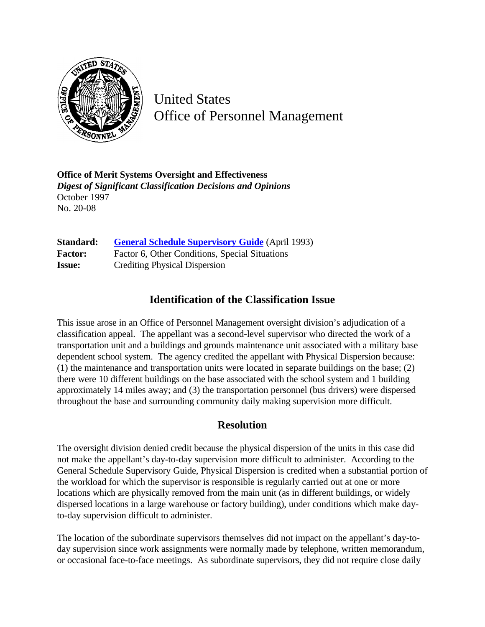

United States Office of Personnel Management

**Office of Merit Systems Oversight and Effectiveness** *Digest of Significant Classification Decisions and Opinions* October 1997 No. 20-08

| Standard:      | <b>General Schedule Supervisory Guide</b> (April 1993) |
|----------------|--------------------------------------------------------|
| <b>Factor:</b> | Factor 6, Other Conditions, Special Situations         |
| <b>Issue:</b>  | <b>Crediting Physical Dispersion</b>                   |

## **Identification of the Classification Issue**

This issue arose in an Office of Personnel Management oversight division's adjudication of a classification appeal. The appellant was a second-level supervisor who directed the work of a transportation unit and a buildings and grounds maintenance unit associated with a military base dependent school system. The agency credited the appellant with Physical Dispersion because: (1) the maintenance and transportation units were located in separate buildings on the base; (2) there were 10 different buildings on the base associated with the school system and 1 building approximately 14 miles away; and (3) the transportation personnel (bus drivers) were dispersed throughout the base and surrounding community daily making supervision more difficult.

## **Resolution**

The oversight division denied credit because the physical dispersion of the units in this case did not make the appellant's day-to-day supervision more difficult to administer. According to the General Schedule Supervisory Guide, Physical Dispersion is credited when a substantial portion of the workload for which the supervisor is responsible is regularly carried out at one or more locations which are physically removed from the main unit (as in different buildings, or widely dispersed locations in a large warehouse or factory building), under conditions which make dayto-day supervision difficult to administer.

The location of the subordinate supervisors themselves did not impact on the appellant's day-today supervision since work assignments were normally made by telephone, written memorandum, or occasional face-to-face meetings. As subordinate supervisors, they did not require close daily